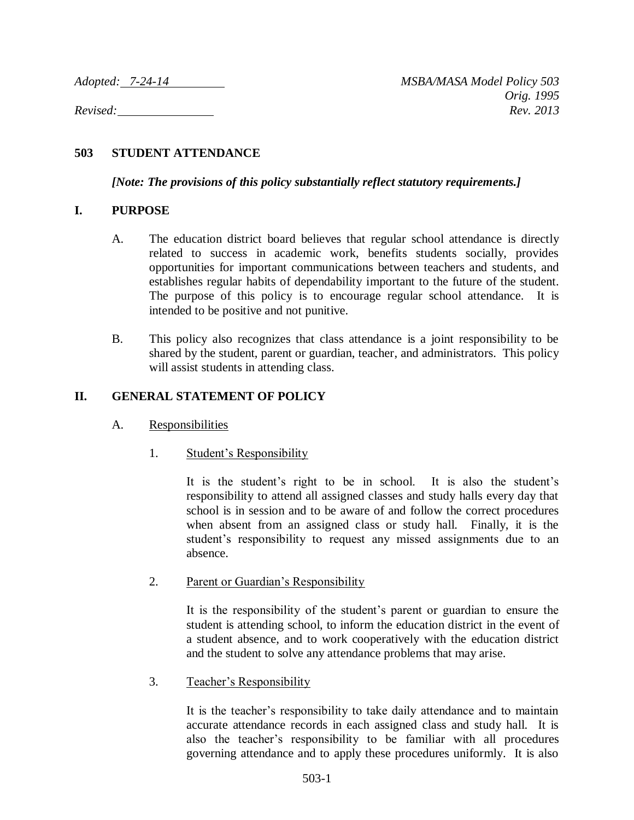# **503 STUDENT ATTENDANCE**

*[Note: The provisions of this policy substantially reflect statutory requirements.]*

## **I. PURPOSE**

- A. The education district board believes that regular school attendance is directly related to success in academic work, benefits students socially, provides opportunities for important communications between teachers and students, and establishes regular habits of dependability important to the future of the student. The purpose of this policy is to encourage regular school attendance. It is intended to be positive and not punitive.
- B. This policy also recognizes that class attendance is a joint responsibility to be shared by the student, parent or guardian, teacher, and administrators. This policy will assist students in attending class.

## **II. GENERAL STATEMENT OF POLICY**

- A. Responsibilities
	- 1. Student's Responsibility

It is the student's right to be in school. It is also the student's responsibility to attend all assigned classes and study halls every day that school is in session and to be aware of and follow the correct procedures when absent from an assigned class or study hall. Finally, it is the student's responsibility to request any missed assignments due to an absence.

2. Parent or Guardian's Responsibility

It is the responsibility of the student's parent or guardian to ensure the student is attending school, to inform the education district in the event of a student absence, and to work cooperatively with the education district and the student to solve any attendance problems that may arise.

3. Teacher's Responsibility

It is the teacher's responsibility to take daily attendance and to maintain accurate attendance records in each assigned class and study hall. It is also the teacher's responsibility to be familiar with all procedures governing attendance and to apply these procedures uniformly. It is also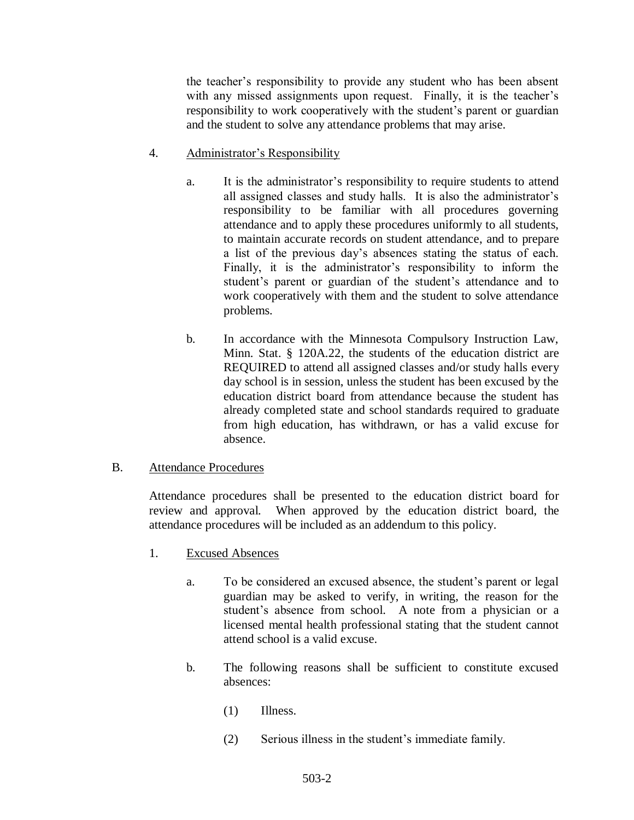the teacher's responsibility to provide any student who has been absent with any missed assignments upon request. Finally, it is the teacher's responsibility to work cooperatively with the student's parent or guardian and the student to solve any attendance problems that may arise.

- 4. Administrator's Responsibility
	- a. It is the administrator's responsibility to require students to attend all assigned classes and study halls. It is also the administrator's responsibility to be familiar with all procedures governing attendance and to apply these procedures uniformly to all students, to maintain accurate records on student attendance, and to prepare a list of the previous day's absences stating the status of each. Finally, it is the administrator's responsibility to inform the student's parent or guardian of the student's attendance and to work cooperatively with them and the student to solve attendance problems.
	- b. In accordance with the Minnesota Compulsory Instruction Law, Minn. Stat. § 120A.22, the students of the education district are REQUIRED to attend all assigned classes and/or study halls every day school is in session, unless the student has been excused by the education district board from attendance because the student has already completed state and school standards required to graduate from high education, has withdrawn, or has a valid excuse for absence.

# B. Attendance Procedures

Attendance procedures shall be presented to the education district board for review and approval. When approved by the education district board, the attendance procedures will be included as an addendum to this policy.

- 1. Excused Absences
	- a. To be considered an excused absence, the student's parent or legal guardian may be asked to verify, in writing, the reason for the student's absence from school. A note from a physician or a licensed mental health professional stating that the student cannot attend school is a valid excuse.
	- b. The following reasons shall be sufficient to constitute excused absences:
		- (1) Illness.
		- (2) Serious illness in the student's immediate family.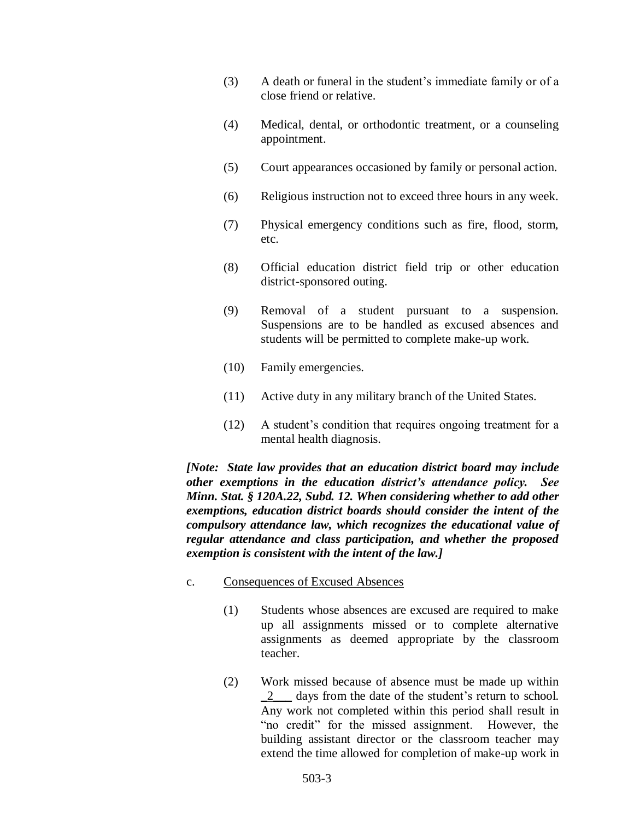- (3) A death or funeral in the student's immediate family or of a close friend or relative.
- (4) Medical, dental, or orthodontic treatment, or a counseling appointment.
- (5) Court appearances occasioned by family or personal action.
- (6) Religious instruction not to exceed three hours in any week.
- (7) Physical emergency conditions such as fire, flood, storm, etc.
- (8) Official education district field trip or other education district-sponsored outing.
- (9) Removal of a student pursuant to a suspension. Suspensions are to be handled as excused absences and students will be permitted to complete make-up work.
- (10) Family emergencies.
- (11) Active duty in any military branch of the United States.
- (12) A student's condition that requires ongoing treatment for a mental health diagnosis.

*[Note: State law provides that an education district board may include other exemptions in the education district's attendance policy. See Minn. Stat. § 120A.22, Subd. 12. When considering whether to add other exemptions, education district boards should consider the intent of the compulsory attendance law, which recognizes the educational value of regular attendance and class participation, and whether the proposed exemption is consistent with the intent of the law.]*

- c. Consequences of Excused Absences
	- (1) Students whose absences are excused are required to make up all assignments missed or to complete alternative assignments as deemed appropriate by the classroom teacher.
	- (2) Work missed because of absence must be made up within \_2\_\_\_ days from the date of the student's return to school. Any work not completed within this period shall result in "no credit" for the missed assignment. However, the building assistant director or the classroom teacher may extend the time allowed for completion of make-up work in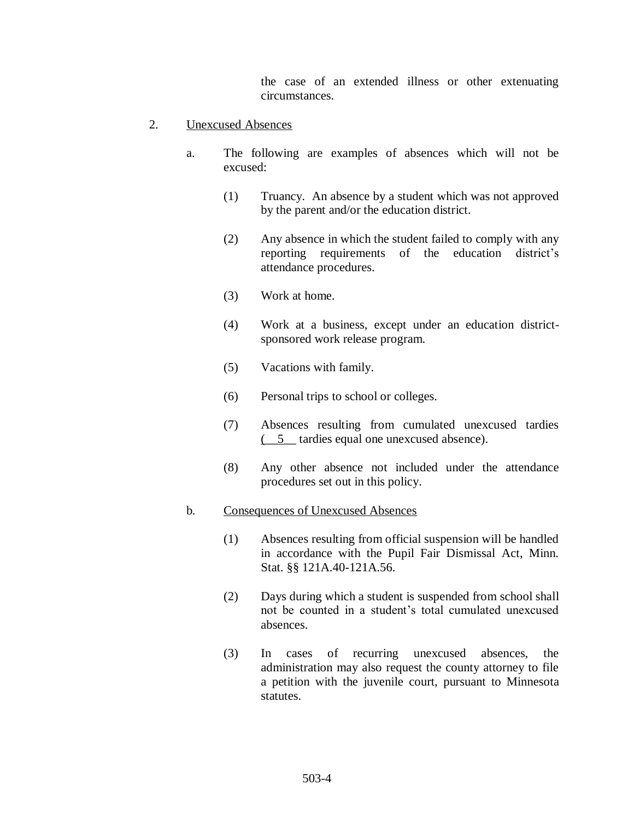the case of an extended illness or other extenuating circumstances.

- 2. Unexcused Absences
	- a. The following are examples of absences which will not be excused:
		- (1) Truancy. An absence by a student which was not approved by the parent and/or the education district.
		- (2) Any absence in which the student failed to comply with any reporting requirements of the education district's attendance procedures.
		- (3) Work at home.
		- (4) Work at a business, except under an education districtsponsored work release program.
		- (5) Vacations with family.
		- (6) Personal trips to school or colleges.
		- (7) Absences resulting from cumulated unexcused tardies (\_\_5\_\_ tardies equal one unexcused absence).
		- (8) Any other absence not included under the attendance procedures set out in this policy.

#### b. Consequences of Unexcused Absences

- (1) Absences resulting from official suspension will be handled in accordance with the Pupil Fair Dismissal Act, Minn. Stat. §§ 121A.40-121A.56.
- (2) Days during which a student is suspended from school shall not be counted in a student's total cumulated unexcused absences.
- (3) In cases of recurring unexcused absences, the administration may also request the county attorney to file a petition with the juvenile court, pursuant to Minnesota statutes.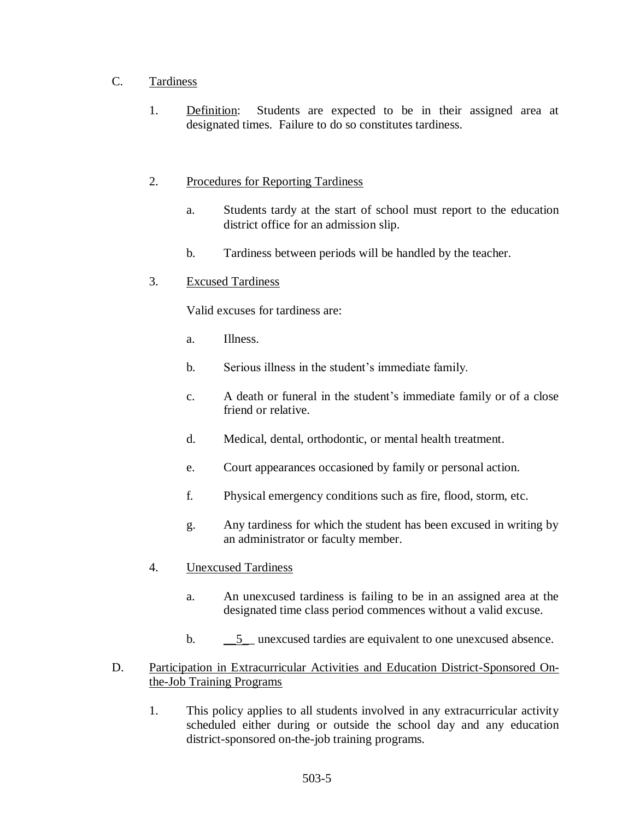# C. Tardiness

1. Definition: Students are expected to be in their assigned area at designated times. Failure to do so constitutes tardiness.

# 2. Procedures for Reporting Tardiness

- a. Students tardy at the start of school must report to the education district office for an admission slip.
- b. Tardiness between periods will be handled by the teacher.
- 3. Excused Tardiness

Valid excuses for tardiness are:

- a. Illness.
- b. Serious illness in the student's immediate family.
- c. A death or funeral in the student's immediate family or of a close friend or relative.
- d. Medical, dental, orthodontic, or mental health treatment.
- e. Court appearances occasioned by family or personal action.
- f. Physical emergency conditions such as fire, flood, storm, etc.
- g. Any tardiness for which the student has been excused in writing by an administrator or faculty member.
- 4. Unexcused Tardiness
	- a. An unexcused tardiness is failing to be in an assigned area at the designated time class period commences without a valid excuse.
	- b.  $\qquad 5$  unexcused tardies are equivalent to one unexcused absence.
- D. Participation in Extracurricular Activities and Education District-Sponsored Onthe-Job Training Programs
	- 1. This policy applies to all students involved in any extracurricular activity scheduled either during or outside the school day and any education district-sponsored on-the-job training programs.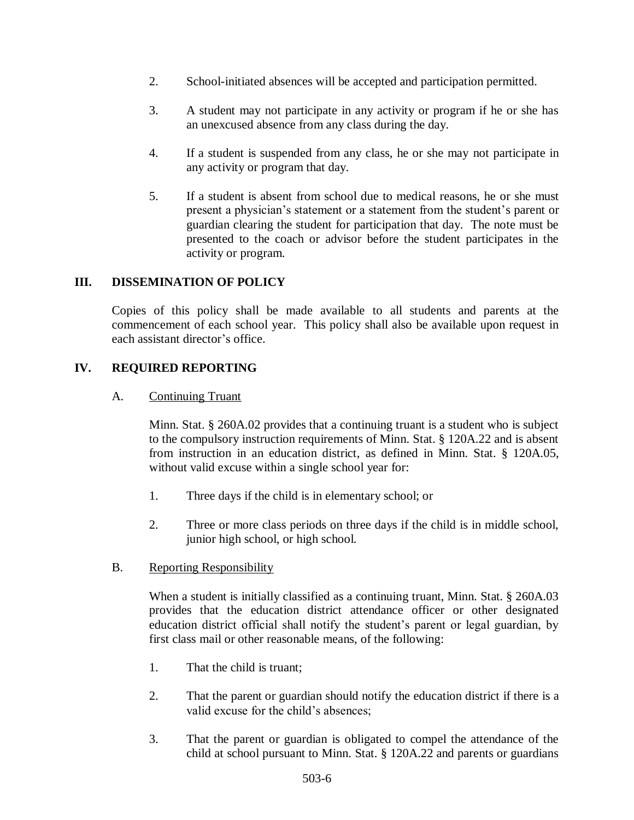- 2. School-initiated absences will be accepted and participation permitted.
- 3. A student may not participate in any activity or program if he or she has an unexcused absence from any class during the day.
- 4. If a student is suspended from any class, he or she may not participate in any activity or program that day.
- 5. If a student is absent from school due to medical reasons, he or she must present a physician's statement or a statement from the student's parent or guardian clearing the student for participation that day. The note must be presented to the coach or advisor before the student participates in the activity or program.

## **III. DISSEMINATION OF POLICY**

Copies of this policy shall be made available to all students and parents at the commencement of each school year. This policy shall also be available upon request in each assistant director's office.

## **IV. REQUIRED REPORTING**

#### A. Continuing Truant

Minn. Stat. § 260A.02 provides that a continuing truant is a student who is subject to the compulsory instruction requirements of Minn. Stat. § 120A.22 and is absent from instruction in an education district, as defined in Minn. Stat. § 120A.05, without valid excuse within a single school year for:

- 1. Three days if the child is in elementary school; or
- 2. Three or more class periods on three days if the child is in middle school, junior high school, or high school.

#### B. Reporting Responsibility

When a student is initially classified as a continuing truant, Minn. Stat. § 260A.03 provides that the education district attendance officer or other designated education district official shall notify the student's parent or legal guardian, by first class mail or other reasonable means, of the following:

- 1. That the child is truant;
- 2. That the parent or guardian should notify the education district if there is a valid excuse for the child's absences;
- 3. That the parent or guardian is obligated to compel the attendance of the child at school pursuant to Minn. Stat. § 120A.22 and parents or guardians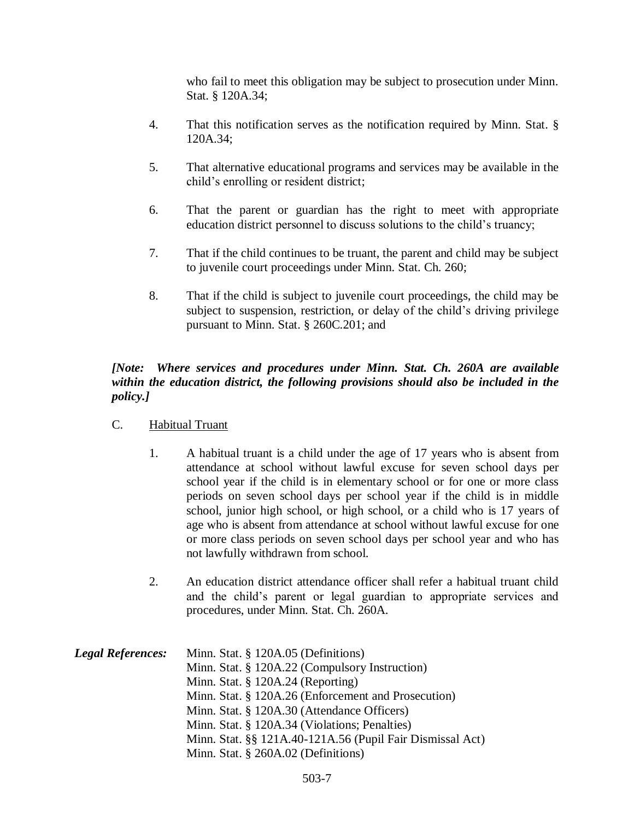who fail to meet this obligation may be subject to prosecution under Minn. Stat. § 120A.34;

- 4. That this notification serves as the notification required by Minn. Stat. § 120A.34;
- 5. That alternative educational programs and services may be available in the child's enrolling or resident district;
- 6. That the parent or guardian has the right to meet with appropriate education district personnel to discuss solutions to the child's truancy;
- 7. That if the child continues to be truant, the parent and child may be subject to juvenile court proceedings under Minn. Stat. Ch. 260;
- 8. That if the child is subject to juvenile court proceedings, the child may be subject to suspension, restriction, or delay of the child's driving privilege pursuant to Minn. Stat. § 260C.201; and

# *[Note: Where services and procedures under Minn. Stat. Ch. 260A are available within the education district, the following provisions should also be included in the policy.]*

- C. Habitual Truant
	- 1. A habitual truant is a child under the age of 17 years who is absent from attendance at school without lawful excuse for seven school days per school year if the child is in elementary school or for one or more class periods on seven school days per school year if the child is in middle school, junior high school, or high school, or a child who is 17 years of age who is absent from attendance at school without lawful excuse for one or more class periods on seven school days per school year and who has not lawfully withdrawn from school.
	- 2. An education district attendance officer shall refer a habitual truant child and the child's parent or legal guardian to appropriate services and procedures, under Minn. Stat. Ch. 260A.

| <b>Legal References:</b> | Minn. Stat. § 120A.05 (Definitions)                       |
|--------------------------|-----------------------------------------------------------|
|                          | Minn. Stat. § 120A.22 (Compulsory Instruction)            |
|                          | Minn. Stat. $\S$ 120A.24 (Reporting)                      |
|                          | Minn. Stat. § 120A.26 (Enforcement and Prosecution)       |
|                          | Minn. Stat. § 120A.30 (Attendance Officers)               |
|                          | Minn. Stat. § 120A.34 (Violations; Penalties)             |
|                          | Minn. Stat. §§ 121A.40-121A.56 (Pupil Fair Dismissal Act) |
|                          | Minn. Stat. § 260A.02 (Definitions)                       |